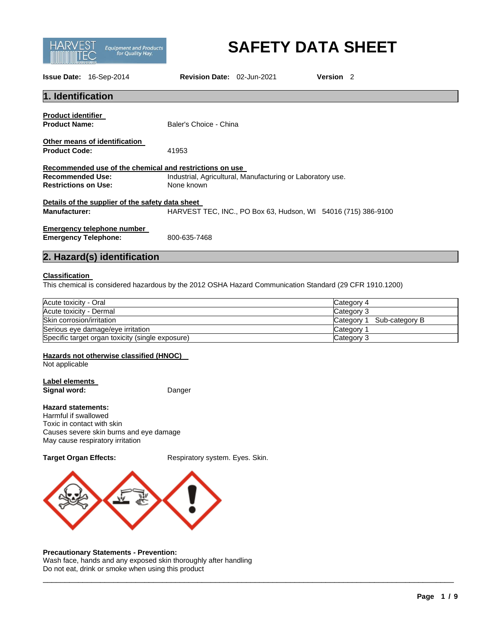

# **SAFETY DATA SHEET**

**Issue Date:** 16-Sep-2014 **Revision Date:** 02-Jun-2021 **Version** 2

| 1. Identification                                                                                                                         |                                                            |  |  |  |
|-------------------------------------------------------------------------------------------------------------------------------------------|------------------------------------------------------------|--|--|--|
| <b>Product identifier</b><br><b>Product Name:</b>                                                                                         | Baler's Choice - China                                     |  |  |  |
| Other means of identification<br><b>Product Code:</b>                                                                                     | 41953                                                      |  |  |  |
|                                                                                                                                           | Recommended use of the chemical and restrictions on use    |  |  |  |
| <b>Recommended Use:</b>                                                                                                                   | Industrial, Agricultural, Manufacturing or Laboratory use. |  |  |  |
| <b>Restrictions on Use:</b>                                                                                                               | None known                                                 |  |  |  |
| Details of the supplier of the safety data sheet<br>HARVEST TEC, INC., PO Box 63, Hudson, WI 54016 (715) 386-9100<br><b>Manufacturer:</b> |                                                            |  |  |  |
| Emergency telephone number<br><b>Emergency Telephone:</b>                                                                                 | 800-635-7468                                               |  |  |  |

# **2. Hazard(s) identification**

#### **Classification**

This chemical is considered hazardous by the 2012 OSHA Hazard Communication Standard (29 CFR 1910.1200)

| Acute toxicity - Oral                            | Category 4                     |
|--------------------------------------------------|--------------------------------|
| Acute toxicity - Dermal                          | Category 3                     |
| Skin corrosion/irritation                        | . Sub-category B<br>Category 1 |
| Serious eye damage/eye irritation                | Category                       |
| Specific target organ toxicity (single exposure) | Category 3                     |

\_\_\_\_\_\_\_\_\_\_\_\_\_\_\_\_\_\_\_\_\_\_\_\_\_\_\_\_\_\_\_\_\_\_\_\_\_\_\_\_\_\_\_\_\_\_\_\_\_\_\_\_\_\_\_\_\_\_\_\_\_\_\_\_\_\_\_\_\_\_\_\_\_\_\_\_\_\_\_\_\_\_\_\_\_\_\_\_\_\_\_\_\_

# **Hazards not otherwise classified (HNOC)**

Not applicable

# **Label elements**

**Signal word:** Danger

### **Hazard statements:**

Harmful if swallowed Toxic in contact with skin Causes severe skin burns and eye damage May cause respiratory irritation

**Target Organ Effects:** Respiratory system. Eyes. Skin.



#### **Precautionary Statements - Prevention:**

Wash face, hands and any exposed skin thoroughly after handling Do not eat, drink or smoke when using this product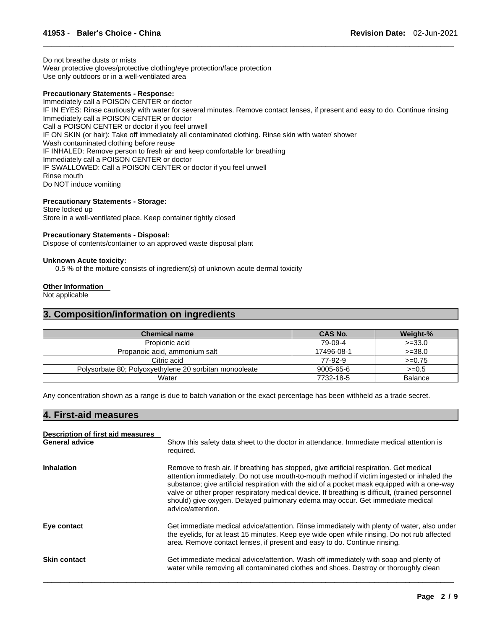Do not breathe dusts or mists Wear protective gloves/protective clothing/eye protection/face protection Use only outdoors or in a well-ventilated area

#### **Precautionary Statements - Response:**

Immediately call a POISON CENTER or doctor IF IN EYES: Rinse cautiously with water for several minutes. Remove contact lenses, if present and easy to do. Continue rinsing Immediately call a POISON CENTER or doctor Call a POISON CENTER or doctor if you feel unwell IF ON SKIN (or hair): Take off immediately all contaminated clothing. Rinse skin with water/ shower Wash contaminated clothing before reuse IF INHALED: Remove person to fresh air and keep comfortable for breathing Immediately call a POISON CENTER or doctor IF SWALLOWED: Call a POISON CENTER or doctor if you feel unwell Rinse mouth Do NOT induce vomiting

\_\_\_\_\_\_\_\_\_\_\_\_\_\_\_\_\_\_\_\_\_\_\_\_\_\_\_\_\_\_\_\_\_\_\_\_\_\_\_\_\_\_\_\_\_\_\_\_\_\_\_\_\_\_\_\_\_\_\_\_\_\_\_\_\_\_\_\_\_\_\_\_\_\_\_\_\_\_\_\_\_\_\_\_\_\_\_\_\_\_\_\_\_

#### **Precautionary Statements - Storage:**

Store locked up Store in a well-ventilated place. Keep container tightly closed

#### **Precautionary Statements - Disposal:**

Dispose of contents/container to an approved waste disposal plant

#### **Unknown Acute toxicity:**

0.5 % of the mixture consists of ingredient(s) of unknown acute dermal toxicity

#### **Other Information**

Not applicable

#### **3. Composition/information on ingredients**

| <b>Chemical name</b>                                   | CAS No.         | Weight-%       |
|--------------------------------------------------------|-----------------|----------------|
| Propionic acid                                         | 79-09-4         | $>=33.0$       |
| Propanoic acid, ammonium salt                          | 17496-08-1      | $>=38.0$       |
| Citric acid                                            | 77-92-9         | $>=0.75$       |
| Polysorbate 80; Polyoxyethylene 20 sorbitan monooleate | $9005 - 65 - 6$ | $>=0.5$        |
| Water                                                  | 7732-18-5       | <b>Balance</b> |

Any concentration shown as a range is due to batch variation or the exact percentage has been withheld as a trade secret.

### **4. First-aid measures**

| Description of first aid measures<br><b>General advice</b> | Show this safety data sheet to the doctor in attendance. Immediate medical attention is<br>required.                                                                                                                                                                                                                                                                                                                                                                                          |
|------------------------------------------------------------|-----------------------------------------------------------------------------------------------------------------------------------------------------------------------------------------------------------------------------------------------------------------------------------------------------------------------------------------------------------------------------------------------------------------------------------------------------------------------------------------------|
| <b>Inhalation</b>                                          | Remove to fresh air. If breathing has stopped, give artificial respiration. Get medical<br>attention immediately. Do not use mouth-to-mouth method if victim ingested or inhaled the<br>substance; give artificial respiration with the aid of a pocket mask equipped with a one-way<br>valve or other proper respiratory medical device. If breathing is difficult, (trained personnel<br>should) give oxygen. Delayed pulmonary edema may occur. Get immediate medical<br>advice/attention. |
| Eye contact                                                | Get immediate medical advice/attention. Rinse immediately with plenty of water, also under<br>the eyelids, for at least 15 minutes. Keep eye wide open while rinsing. Do not rub affected<br>area. Remove contact lenses, if present and easy to do. Continue rinsing.                                                                                                                                                                                                                        |
| <b>Skin contact</b>                                        | Get immediate medical advice/attention. Wash off immediately with soap and plenty of<br>water while removing all contaminated clothes and shoes. Destroy or thoroughly clean                                                                                                                                                                                                                                                                                                                  |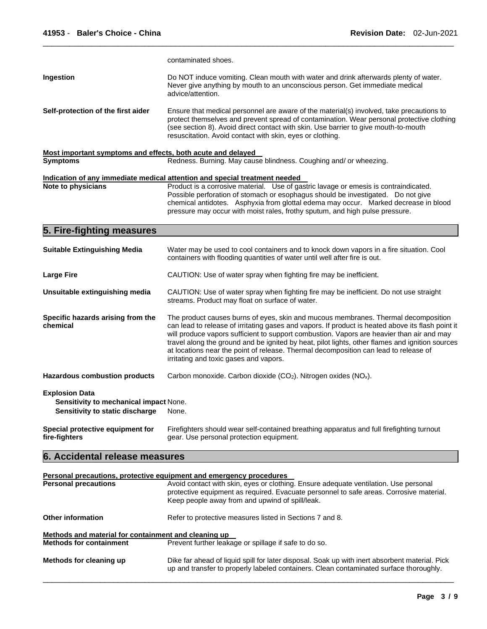|                                                                                                    | contaminated shoes.                                                                                                                                                                                                                                                                                                                                                                                                                                                                                                       |  |
|----------------------------------------------------------------------------------------------------|---------------------------------------------------------------------------------------------------------------------------------------------------------------------------------------------------------------------------------------------------------------------------------------------------------------------------------------------------------------------------------------------------------------------------------------------------------------------------------------------------------------------------|--|
| Ingestion                                                                                          | Do NOT induce vomiting. Clean mouth with water and drink afterwards plenty of water.<br>Never give anything by mouth to an unconscious person. Get immediate medical<br>advice/attention.                                                                                                                                                                                                                                                                                                                                 |  |
| Self-protection of the first aider                                                                 | Ensure that medical personnel are aware of the material(s) involved, take precautions to<br>protect themselves and prevent spread of contamination. Wear personal protective clothing<br>(see section 8). Avoid direct contact with skin. Use barrier to give mouth-to-mouth<br>resuscitation. Avoid contact with skin, eyes or clothing.                                                                                                                                                                                 |  |
| Most important symptoms and effects, both acute and delayed                                        |                                                                                                                                                                                                                                                                                                                                                                                                                                                                                                                           |  |
| <b>Symptoms</b>                                                                                    | Redness. Burning. May cause blindness. Coughing and/ or wheezing.                                                                                                                                                                                                                                                                                                                                                                                                                                                         |  |
|                                                                                                    | Indication of any immediate medical attention and special treatment needed                                                                                                                                                                                                                                                                                                                                                                                                                                                |  |
| Note to physicians                                                                                 | Product is a corrosive material. Use of gastric lavage or emesis is contraindicated.<br>Possible perforation of stomach or esophagus should be investigated.  Do not give<br>chemical antidotes. Asphyxia from glottal edema may occur. Marked decrease in blood<br>pressure may occur with moist rales, frothy sputum, and high pulse pressure.                                                                                                                                                                          |  |
| 5. Fire-fighting measures                                                                          |                                                                                                                                                                                                                                                                                                                                                                                                                                                                                                                           |  |
| <b>Suitable Extinguishing Media</b>                                                                | Water may be used to cool containers and to knock down vapors in a fire situation. Cool<br>containers with flooding quantities of water until well after fire is out.                                                                                                                                                                                                                                                                                                                                                     |  |
| <b>Large Fire</b>                                                                                  | CAUTION: Use of water spray when fighting fire may be inefficient.                                                                                                                                                                                                                                                                                                                                                                                                                                                        |  |
| Unsuitable extinguishing media                                                                     | CAUTION: Use of water spray when fighting fire may be inefficient. Do not use straight<br>streams. Product may float on surface of water.                                                                                                                                                                                                                                                                                                                                                                                 |  |
| Specific hazards arising from the<br>chemical                                                      | The product causes burns of eyes, skin and mucous membranes. Thermal decomposition<br>can lead to release of irritating gases and vapors. If product is heated above its flash point it<br>will produce vapors sufficient to support combustion. Vapors are heavier than air and may<br>travel along the ground and be ignited by heat, pilot lights, other flames and ignition sources<br>at locations near the point of release. Thermal decomposition can lead to release of<br>irritating and toxic gases and vapors. |  |
| <b>Hazardous combustion products</b>                                                               | Carbon monoxide. Carbon dioxide (CO2). Nitrogen oxides (NO <sub>x</sub> ).                                                                                                                                                                                                                                                                                                                                                                                                                                                |  |
| <b>Explosion Data</b><br>Sensitivity to mechanical impact None.<br>Sensitivity to static discharge | None.                                                                                                                                                                                                                                                                                                                                                                                                                                                                                                                     |  |
| Special protective equipment for<br>fire-fighters                                                  | Firefighters should wear self-contained breathing apparatus and full firefighting turnout<br>gear. Use personal protection equipment.                                                                                                                                                                                                                                                                                                                                                                                     |  |
| 6. Accidental release measures                                                                     |                                                                                                                                                                                                                                                                                                                                                                                                                                                                                                                           |  |
|                                                                                                    | Personal precautions, protective equipment and emergency procedures                                                                                                                                                                                                                                                                                                                                                                                                                                                       |  |
| <b>Personal precautions</b>                                                                        | Avoid contact with skin, eyes or clothing. Ensure adequate ventilation. Use personal                                                                                                                                                                                                                                                                                                                                                                                                                                      |  |
|                                                                                                    | protective equipment as required. Evacuate personnel to safe areas. Corrosive material.<br>Keep people away from and upwind of spill/leak.                                                                                                                                                                                                                                                                                                                                                                                |  |

\_\_\_\_\_\_\_\_\_\_\_\_\_\_\_\_\_\_\_\_\_\_\_\_\_\_\_\_\_\_\_\_\_\_\_\_\_\_\_\_\_\_\_\_\_\_\_\_\_\_\_\_\_\_\_\_\_\_\_\_\_\_\_\_\_\_\_\_\_\_\_\_\_\_\_\_\_\_\_\_\_\_\_\_\_\_\_\_\_\_\_\_\_

| <b>Other information</b>                             | Refer to protective measures listed in Sections 7 and 8.                                                                                                                                 |  |  |
|------------------------------------------------------|------------------------------------------------------------------------------------------------------------------------------------------------------------------------------------------|--|--|
| Methods and material for containment and cleaning up |                                                                                                                                                                                          |  |  |
| <b>Methods for containment</b>                       | Prevent further leakage or spillage if safe to do so.                                                                                                                                    |  |  |
| Methods for cleaning up                              | Dike far ahead of liquid spill for later disposal. Soak up with inert absorbent material. Pick<br>up and transfer to properly labeled containers. Clean contaminated surface thoroughly. |  |  |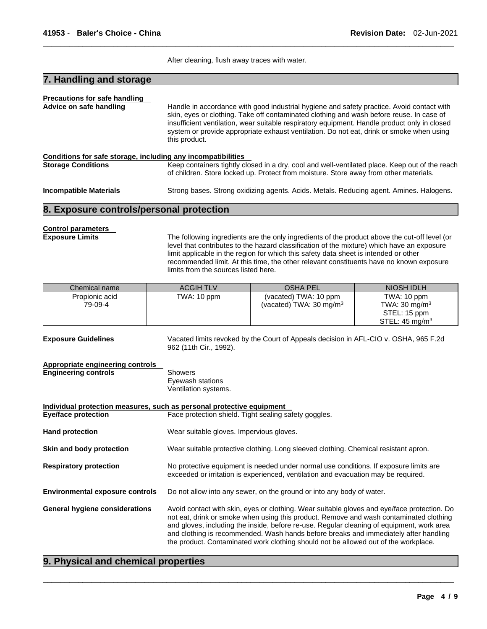After cleaning, flush away traces with water.

\_\_\_\_\_\_\_\_\_\_\_\_\_\_\_\_\_\_\_\_\_\_\_\_\_\_\_\_\_\_\_\_\_\_\_\_\_\_\_\_\_\_\_\_\_\_\_\_\_\_\_\_\_\_\_\_\_\_\_\_\_\_\_\_\_\_\_\_\_\_\_\_\_\_\_\_\_\_\_\_\_\_\_\_\_\_\_\_\_\_\_\_\_

# **7. Handling and storage**

| <b>Precautions for safe handling</b>                         |                                                                                                                                                                                                                                                                                                                                                                                                    |
|--------------------------------------------------------------|----------------------------------------------------------------------------------------------------------------------------------------------------------------------------------------------------------------------------------------------------------------------------------------------------------------------------------------------------------------------------------------------------|
| Advice on safe handling                                      | Handle in accordance with good industrial hygiene and safety practice. Avoid contact with<br>skin, eyes or clothing. Take off contaminated clothing and wash before reuse. In case of<br>insufficient ventilation, wear suitable respiratory equipment. Handle product only in closed<br>system or provide appropriate exhaust ventilation. Do not eat, drink or smoke when using<br>this product. |
| Conditions for safe storage, including any incompatibilities |                                                                                                                                                                                                                                                                                                                                                                                                    |
| <b>Storage Conditions</b>                                    | Keep containers tightly closed in a dry, cool and well-ventilated place. Keep out of the reach<br>of children. Store locked up. Protect from moisture. Store away from other materials.                                                                                                                                                                                                            |
| <b>Incompatible Materials</b>                                | Strong bases. Strong oxidizing agents. Acids. Metals. Reducing agent. Amines. Halogens.                                                                                                                                                                                                                                                                                                            |

#### **8. Exposure controls/personal protection**

# **Control parameters**

**Exposure Limits** The following ingredients are the only ingredients of the product above the cut-off level (or level that contributes to the hazard classification of the mixture) which have an exposure limit applicable in the region for which this safety data sheet is intended or other recommended limit. At this time, the other relevant constituents have no known exposure limits from the sources listed here.

| Chemical name  | <b>ACGIH TLV</b> | <b>OSHA PEL</b>                    | NIOSH IDLH                |
|----------------|------------------|------------------------------------|---------------------------|
| Propionic acid | TWA: 10 ppm      | (vacated) TWA: 10 ppm              | TWA: 10 ppm               |
| 79-09-4        |                  | (vacated) TWA: $30 \text{ mg/m}^3$ | TWA: 30 mg/m $3$          |
|                |                  |                                    | STEL: 15 ppm              |
|                |                  |                                    | STEL: $45 \text{ mg/m}^3$ |

**Exposure Guidelines** Vacated limits revoked by the Court of Appeals decision in AFL-CIO v. OSHA, 965 F.2d 962 (11th Cir., 1992). **Appropriate engineering controls** 

#### **Engineering controls** Showers Eyewash stations Ventilation systems.

**Individual protection measures, such as personal protective equipment Eye/face protection Face protection Shield. Tight sealing safety goggles. Hand protection Wear suitable gloves. Impervious gloves. Skin and body protection** Wear suitable protective clothing. Long sleeved clothing. Chemical resistant apron. **Respiratory protection** No protective equipment is needed under normal use conditions. If exposure limits are exceeded or irritation is experienced, ventilation and evacuation may be required. **Environmental exposure controls** Do not allow into any sewer, on the ground or into any body of water. **General hygiene considerations** Avoid contact with skin, eyes or clothing. Wear suitable gloves and eye/face protection. Do not eat, drink or smoke when using this product. Remove and wash contaminated clothing and gloves, including the inside, before re-use. Regular cleaning of equipment, work area and clothing is recommended. Wash hands before breaks and immediately after handling the product. Contaminated work clothing should not be allowed out of the workplace.

\_\_\_\_\_\_\_\_\_\_\_\_\_\_\_\_\_\_\_\_\_\_\_\_\_\_\_\_\_\_\_\_\_\_\_\_\_\_\_\_\_\_\_\_\_\_\_\_\_\_\_\_\_\_\_\_\_\_\_\_\_\_\_\_\_\_\_\_\_\_\_\_\_\_\_\_\_\_\_\_\_\_\_\_\_\_\_\_\_\_\_\_\_

### **9. Physical and chemical properties**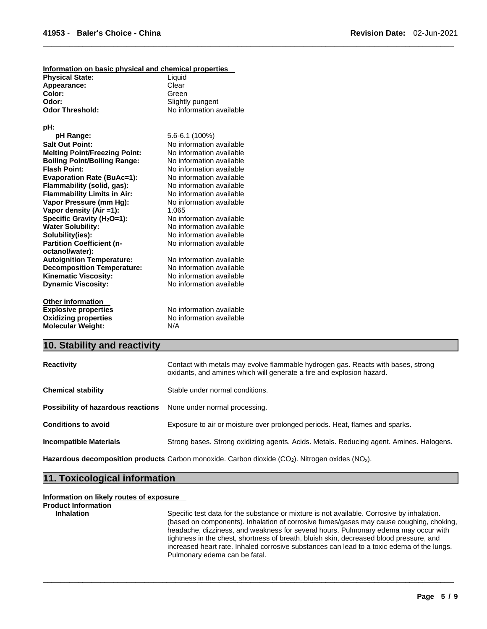| Information on basic physical and chemical properties |                          |
|-------------------------------------------------------|--------------------------|
| <b>Physical State:</b>                                | Liquid                   |
| Appearance:                                           | Clear                    |
| Color:                                                | Green                    |
| Odor:                                                 | Slightly pungent         |
| <b>Odor Threshold:</b>                                | No information available |
|                                                       |                          |
| pH:                                                   |                          |
| pH Range:                                             | 5.6-6.1 (100%)           |
| <b>Salt Out Point:</b>                                | No information available |
| <b>Melting Point/Freezing Point:</b>                  | No information available |
| <b>Boiling Point/Boiling Range:</b>                   | No information available |
| <b>Flash Point:</b>                                   | No information available |
| <b>Evaporation Rate (BuAc=1):</b>                     | No information available |
| Flammability (solid, gas):                            | No information available |
| <b>Flammability Limits in Air:</b>                    | No information available |
| Vapor Pressure (mm Hg):                               | No information available |
| Vapor density (Air =1):                               | 1.065                    |
| Specific Gravity (H <sub>2</sub> O=1):                | No information available |
| <b>Water Solubility:</b>                              | No information available |
| Solubility(ies):                                      | No information available |
| <b>Partition Coefficient (n-</b>                      | No information available |
| octanol/water):                                       |                          |
| <b>Autoignition Temperature:</b>                      | No information available |
| <b>Decomposition Temperature:</b>                     | No information available |
| <b>Kinematic Viscosity:</b>                           | No information available |
| <b>Dynamic Viscosity:</b>                             | No information available |
| <b>Other information</b>                              |                          |
| <b>Explosive properties</b>                           | No information available |
| <b>Oxidizing properties</b>                           | No information available |
| <b>Molecular Weight:</b>                              | N/A                      |

# **10. Stability and reactivity**

| <b>Reactivity</b>                  | Contact with metals may evolve flammable hydrogen gas. Reacts with bases, strong<br>oxidants, and amines which will generate a fire and explosion hazard. |  |
|------------------------------------|-----------------------------------------------------------------------------------------------------------------------------------------------------------|--|
| <b>Chemical stability</b>          | Stable under normal conditions.                                                                                                                           |  |
| Possibility of hazardous reactions | None under normal processing.                                                                                                                             |  |
| <b>Conditions to avoid</b>         | Exposure to air or moisture over prolonged periods. Heat, flames and sparks.                                                                              |  |
| <b>Incompatible Materials</b>      | Strong bases. Strong oxidizing agents. Acids. Metals. Reducing agent. Amines. Halogens.                                                                   |  |

\_\_\_\_\_\_\_\_\_\_\_\_\_\_\_\_\_\_\_\_\_\_\_\_\_\_\_\_\_\_\_\_\_\_\_\_\_\_\_\_\_\_\_\_\_\_\_\_\_\_\_\_\_\_\_\_\_\_\_\_\_\_\_\_\_\_\_\_\_\_\_\_\_\_\_\_\_\_\_\_\_\_\_\_\_\_\_\_\_\_\_\_\_

\_\_\_\_\_\_\_\_\_\_\_\_\_\_\_\_\_\_\_\_\_\_\_\_\_\_\_\_\_\_\_\_\_\_\_\_\_\_\_\_\_\_\_\_\_\_\_\_\_\_\_\_\_\_\_\_\_\_\_\_\_\_\_\_\_\_\_\_\_\_\_\_\_\_\_\_\_\_\_\_\_\_\_\_\_\_\_\_\_\_\_\_\_

Hazardous decomposition products Carbon monoxide. Carbon dioxide (CO<sub>2</sub>). Nitrogen oxides (NO<sub>x</sub>).

# **11. Toxicological information**

### **Information on likely routes of exposure**

```
Product Information
```
**Inhalation** Specific test data for the substance or mixture is not available. Corrosive by inhalation. (based on components). Inhalation of corrosive fumes/gases may cause coughing, choking, headache, dizziness, and weakness for several hours. Pulmonary edema may occur with tightness in the chest, shortness of breath, bluish skin, decreased blood pressure, and increased heart rate. Inhaled corrosive substances can lead to a toxic edema of the lungs. Pulmonary edema can be fatal.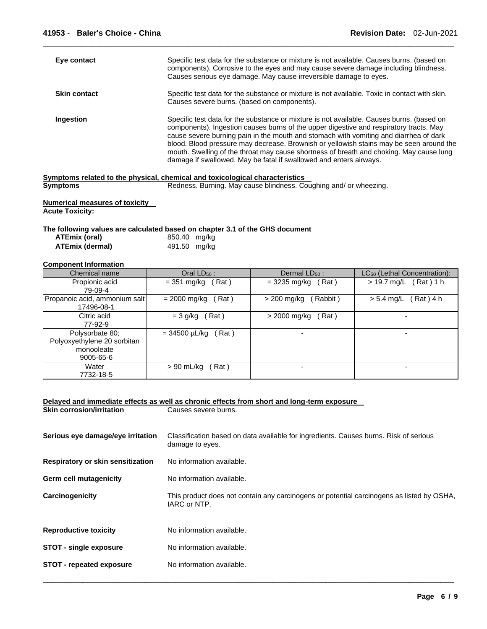| Eye contact         | Specific test data for the substance or mixture is not available. Causes burns. (based on<br>components). Corrosive to the eyes and may cause severe damage including blindness.<br>Causes serious eye damage. May cause irreversible damage to eyes.                                                                                                                                                                                                                                                                                                                                                                 |
|---------------------|-----------------------------------------------------------------------------------------------------------------------------------------------------------------------------------------------------------------------------------------------------------------------------------------------------------------------------------------------------------------------------------------------------------------------------------------------------------------------------------------------------------------------------------------------------------------------------------------------------------------------|
| <b>Skin contact</b> | Specific test data for the substance or mixture is not available. Toxic in contact with skin.<br>Causes severe burns. (based on components).                                                                                                                                                                                                                                                                                                                                                                                                                                                                          |
| Ingestion           | Specific test data for the substance or mixture is not available. Causes burns. (based on<br>components). Ingestion causes burns of the upper digestive and respiratory tracts. May<br>cause severe burning pain in the mouth and stomach with vomiting and diarrhea of dark<br>blood. Blood pressure may decrease. Brownish or yellowish stains may be seen around the<br>mouth. Swelling of the throat may cause shortness of breath and choking. May cause lung<br>damage if swallowed. May be fatal if swallowed and enters airways.<br>mptama ralatad ta tha physical ahamigal and tayigalagigal aharagtarigtiga |

\_\_\_\_\_\_\_\_\_\_\_\_\_\_\_\_\_\_\_\_\_\_\_\_\_\_\_\_\_\_\_\_\_\_\_\_\_\_\_\_\_\_\_\_\_\_\_\_\_\_\_\_\_\_\_\_\_\_\_\_\_\_\_\_\_\_\_\_\_\_\_\_\_\_\_\_\_\_\_\_\_\_\_\_\_\_\_\_\_\_\_\_\_

|                 | Symptoms related to the physical, chemical and toxicological characteristics |  |
|-----------------|------------------------------------------------------------------------------|--|
| <b>Symptoms</b> | Redness. Burning. May cause blindness. Coughing and/ or wheezing.            |  |

**Numerical measures of toxicity Acute Toxicity:** 

#### **The following values are calculated based on chapter 3.1 of the GHS document**

| ATEmix (oral)          | 850.40 mg/kg |  |
|------------------------|--------------|--|
| <b>ATEmix (dermal)</b> | 491.50 mg/kg |  |

#### **Component Information**

| Chemical name                                                             | Oral $LD_{50}$ :            | Dermal $LD_{50}$ :     | LC <sub>50</sub> (Lethal Concentration): |
|---------------------------------------------------------------------------|-----------------------------|------------------------|------------------------------------------|
| Propionic acid<br>79-09-4                                                 | $=$ 351 mg/kg (Rat)         | $=$ 3235 mg/kg (Rat)   | $> 19.7$ mg/L (Rat) 1 h                  |
| Propanoic acid, ammonium salt<br>17496-08-1                               | (Rat)<br>= 2000 mg/kg       | Rabbit)<br>> 200 mg/kg | Rat ) 4 h<br>$> 5.4$ mg/L                |
| Citric acid<br>77-92-9                                                    | (Rat)<br>$= 3$ g/kg         | Rat)<br>> 2000 mg/kg   |                                          |
| Polysorbate 80;<br>Polyoxyethylene 20 sorbitan<br>monooleate<br>9005-65-6 | $= 34500 \mu L/kg$<br>(Rat) |                        | -                                        |
| Water<br>7732-18-5                                                        | $> 90$ mL/kg<br>Rat)        |                        |                                          |

#### **Delayed and immediate effects as well as chronic effects from short and long-term exposure Skin corrosion/irritation**

| Serious eye damage/eye irritation | Classification based on data available for ingredients. Causes burns. Risk of serious<br>damage to eyes.  |
|-----------------------------------|-----------------------------------------------------------------------------------------------------------|
| Respiratory or skin sensitization | No information available.                                                                                 |
| Germ cell mutagenicity            | No information available.                                                                                 |
| Carcinogenicity                   | This product does not contain any carcinogens or potential carcinogens as listed by OSHA,<br>IARC or NTP. |
| <b>Reproductive toxicity</b>      | No information available.                                                                                 |
| <b>STOT - single exposure</b>     | No information available.                                                                                 |
| <b>STOT - repeated exposure</b>   | No information available.                                                                                 |
|                                   |                                                                                                           |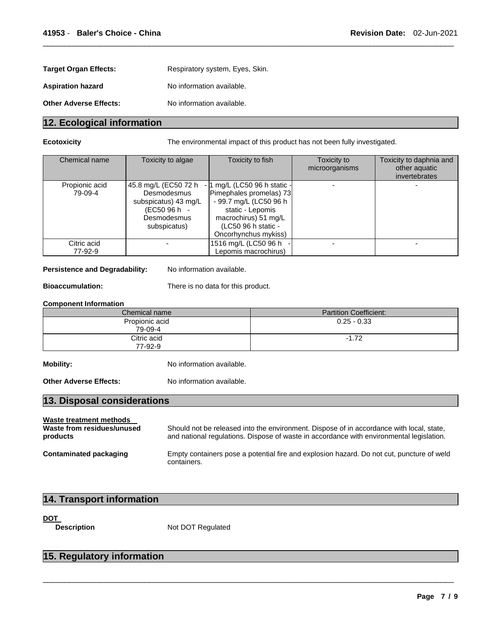| <b>Target Organ Effects:</b>  | Respiratory system, Eyes, Skin. |
|-------------------------------|---------------------------------|
| <b>Aspiration hazard</b>      | No information available.       |
| <b>Other Adverse Effects:</b> | No information available.       |

# **12. Ecological information**

**Ecotoxicity** The environmental impact of this product has not been fully investigated.

| Chemical name             | Toxicity to algae                                                                                          | Toxicity to fish                                                                                                                                                             | Toxicity to<br>microorganisms | Toxicity to daphnia and<br>other aquatic<br>invertebrates |
|---------------------------|------------------------------------------------------------------------------------------------------------|------------------------------------------------------------------------------------------------------------------------------------------------------------------------------|-------------------------------|-----------------------------------------------------------|
| Propionic acid<br>79-09-4 | 45.8 mg/L (EC50 72 h<br>Desmodesmus<br>subspicatus) 43 mg/L<br>(EC50 96 h -<br>Desmodesmus<br>subspicatus) | - 1 mg/L (LC50 96 h static -<br>Pimephales promelas) 73<br>- 99.7 mg/L (LC50 96 h<br>static - Lepomis<br>macrochirus) 51 mg/L<br>(LC50 96 h static -<br>Oncorhynchus mykiss) |                               |                                                           |
| Citric acid<br>77-92-9    |                                                                                                            | 1516 mg/L (LC50 96 h<br>Lepomis macrochirus)                                                                                                                                 |                               |                                                           |

\_\_\_\_\_\_\_\_\_\_\_\_\_\_\_\_\_\_\_\_\_\_\_\_\_\_\_\_\_\_\_\_\_\_\_\_\_\_\_\_\_\_\_\_\_\_\_\_\_\_\_\_\_\_\_\_\_\_\_\_\_\_\_\_\_\_\_\_\_\_\_\_\_\_\_\_\_\_\_\_\_\_\_\_\_\_\_\_\_\_\_\_\_

#### Persistence and Degradability: No information available.

**Bioaccumulation:** There is no data for this product.

#### **Component Information**

| Chemical name             | <b>Partition Coefficient:</b> |
|---------------------------|-------------------------------|
| Propionic acid<br>79-09-4 | $0.25 - 0.33$                 |
| Citric acid<br>77-92-9    | $-1.72$                       |

**Mobility:** No information available.

**Other Adverse Effects:** No information available.

# **13. Disposal considerations**

#### **Waste treatment methods**

**Waste from residues/unused products**  Should not be released into the environment. Dispose of in accordance with local, state, and national regulations. Dispose of waste in accordance with environmental legislation. **Contaminated packaging** Empty containers pose a potential fire and explosion hazard. Do not cut, puncture of weld containers.

\_\_\_\_\_\_\_\_\_\_\_\_\_\_\_\_\_\_\_\_\_\_\_\_\_\_\_\_\_\_\_\_\_\_\_\_\_\_\_\_\_\_\_\_\_\_\_\_\_\_\_\_\_\_\_\_\_\_\_\_\_\_\_\_\_\_\_\_\_\_\_\_\_\_\_\_\_\_\_\_\_\_\_\_\_\_\_\_\_\_\_\_\_

# **14. Transport information**

**DOT** 

**Description Mot DOT Regulated** 

# **15. Regulatory information**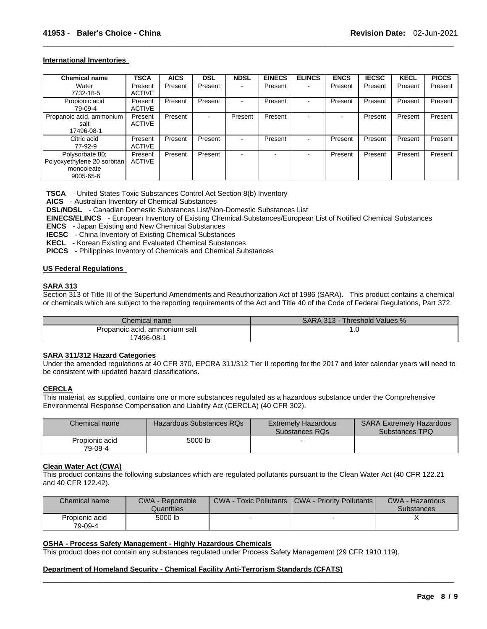#### **International Inventories**

| <b>Chemical name</b>                                                            | <b>TSCA</b>              | <b>AICS</b> | <b>DSL</b> | <b>NDSL</b> | <b>EINECS</b> | <b>ELINCS</b> | <b>ENCS</b> | <b>IECSC</b> | <b>KECL</b> | <b>PICCS</b> |
|---------------------------------------------------------------------------------|--------------------------|-------------|------------|-------------|---------------|---------------|-------------|--------------|-------------|--------------|
| Water<br>7732-18-5                                                              | Present<br><b>ACTIVE</b> | Present     | Present    |             | Present       | $\,$          | Present     | Present      | Present     | Present      |
| Propionic acid<br>79-09-4                                                       | Present<br><b>ACTIVE</b> | Present     | Present    |             | Present       | $\,$          | Present     | Present      | Present     | Present      |
| Propanoic acid, ammonium<br>salt<br>17496-08-1                                  | Present<br><b>ACTIVE</b> | Present     |            | Present     | Present       |               |             | Present      | Present     | Present      |
| Citric acid<br>77-92-9                                                          | Present<br><b>ACTIVE</b> | Present     | Present    |             | Present       | $\sim$        | Present     | Present      | Present     | Present      |
| Polysorbate 80;<br>Polyoxyethylene 20 sorbitan<br>monooleate<br>$9005 - 65 - 6$ | Present<br><b>ACTIVE</b> | Present     | Present    |             |               |               | Present     | Present      | Present     | Present      |

\_\_\_\_\_\_\_\_\_\_\_\_\_\_\_\_\_\_\_\_\_\_\_\_\_\_\_\_\_\_\_\_\_\_\_\_\_\_\_\_\_\_\_\_\_\_\_\_\_\_\_\_\_\_\_\_\_\_\_\_\_\_\_\_\_\_\_\_\_\_\_\_\_\_\_\_\_\_\_\_\_\_\_\_\_\_\_\_\_\_\_\_\_

**TSCA** - United States Toxic Substances Control Act Section 8(b) Inventory

**AICS** - Australian Inventory of Chemical Substances

**DSL/NDSL** - Canadian Domestic Substances List/Non-Domestic Substances List

**EINECS/ELINCS** - European Inventory of Existing Chemical Substances/European List of Notified Chemical Substances

**ENCS** - Japan Existing and New Chemical Substances

**IECSC** - China Inventory of Existing Chemical Substances

**KECL** - Korean Existing and Evaluated Chemical Substances

**PICCS** - Philippines Inventory of Chemicals and Chemical Substances

#### **US Federal Regulations**

#### **SARA 313**

Section 313 of Title III of the Superfund Amendments and Reauthorization Act of 1986 (SARA). This product contains a chemical or chemicals which are subject to the reporting requirements of the Act and Title 40 of the Code of Federal Regulations, Part 372.

| Chemical name                               | <b>SARA 313 -</b><br>Threshold Values % |
|---------------------------------------------|-----------------------------------------|
| Propanoic acid, ammonium salt<br>17496-08-1 | . . ب                                   |

#### **SARA 311/312 Hazard Categories**

Under the amended regulations at 40 CFR 370, EPCRA 311/312 Tier II reporting for the 2017 and later calendar years will need to be consistent with updated hazard classifications.

#### **CERCLA**

This material, as supplied, contains one or more substances regulated as a hazardous substance under the Comprehensive Environmental Response Compensation and Liability Act (CERCLA) (40 CFR 302).

| Chemical name             | Hazardous Substances RQs | <b>Extremely Hazardous</b><br>Substances RQs | <b>SARA Extremely Hazardous</b><br>Substances TPQ |
|---------------------------|--------------------------|----------------------------------------------|---------------------------------------------------|
| Propionic acid<br>79-09-4 | 5000 lb                  |                                              |                                                   |

#### **Clean Water Act (CWA)**

This product contains the following substances which are regulated pollutants pursuant to the Clean Water Act (40 CFR 122.21 and 40 CFR 122.42).

| Chemical name             | <b>CWA - Reportable</b><br>Quantities | <b>CWA - Toxic Pollutants</b> | <b>ICWA - Priority Pollutants I</b> | CWA - Hazardous<br><b>Substances</b> |
|---------------------------|---------------------------------------|-------------------------------|-------------------------------------|--------------------------------------|
| Propionic acid<br>79-09-4 | 5000 lb                               |                               | -                                   |                                      |

\_\_\_\_\_\_\_\_\_\_\_\_\_\_\_\_\_\_\_\_\_\_\_\_\_\_\_\_\_\_\_\_\_\_\_\_\_\_\_\_\_\_\_\_\_\_\_\_\_\_\_\_\_\_\_\_\_\_\_\_\_\_\_\_\_\_\_\_\_\_\_\_\_\_\_\_\_\_\_\_\_\_\_\_\_\_\_\_\_\_\_\_\_

#### **OSHA - Process Safety Management - Highly Hazardous Chemicals**

This product does not contain any substances regulated under Process Safety Management (29 CFR 1910.119).

#### **Department of Homeland Security - Chemical Facility Anti-Terrorism Standards (CFATS)**